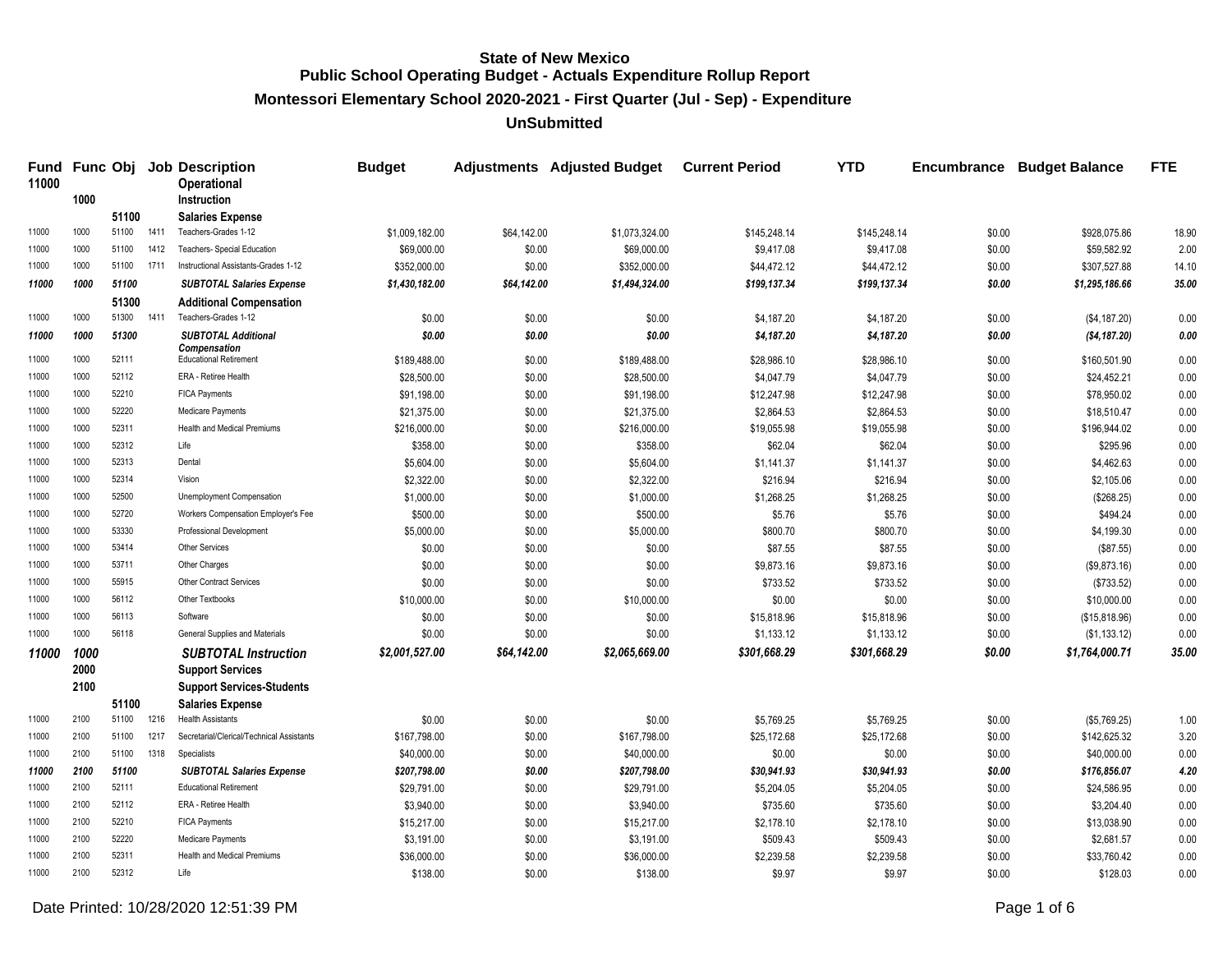**Montessori Elementary School 2020-2021 - First Quarter (Jul - Sep) - Expenditure**

**UnSubmitted**

| Fund<br>11000 |      |       |      | <b>Func Obj Job Description</b><br>Operational    | <b>Budget</b>  |             | <b>Adjustments</b> Adjusted Budget | <b>Current Period</b> | <b>YTD</b>   | <b>Encumbrance</b> | <b>Budget Balance</b> | <b>FTE</b> |
|---------------|------|-------|------|---------------------------------------------------|----------------|-------------|------------------------------------|-----------------------|--------------|--------------------|-----------------------|------------|
|               | 1000 |       |      | <b>Instruction</b>                                |                |             |                                    |                       |              |                    |                       |            |
|               |      | 51100 |      | <b>Salaries Expense</b>                           |                |             |                                    |                       |              |                    |                       |            |
| 11000         | 1000 | 51100 | 1411 | Teachers-Grades 1-12                              | \$1,009,182.00 | \$64,142.00 | \$1,073,324.00                     | \$145,248.14          | \$145,248.14 | \$0.00             | \$928,075.86          | 18.90      |
| 11000         | 1000 | 51100 | 1412 | Teachers- Special Education                       | \$69,000.00    | \$0.00      | \$69,000.00                        | \$9,417.08            | \$9,417.08   | \$0.00             | \$59,582.92           | 2.00       |
| 11000         | 1000 | 51100 | 1711 | Instructional Assistants-Grades 1-12              | \$352,000.00   | \$0.00      | \$352,000.00                       | \$44,472.12           | \$44,472.12  | \$0.00             | \$307,527.88          | 14.10      |
| 11000         | 1000 | 51100 |      | <b>SUBTOTAL Salaries Expense</b>                  | \$1,430,182.00 | \$64,142.00 | \$1,494,324.00                     | \$199,137.34          | \$199,137.34 | \$0.00             | \$1,295,186.66        | 35.00      |
|               |      | 51300 |      | <b>Additional Compensation</b>                    |                |             |                                    |                       |              |                    |                       |            |
| 11000         | 1000 | 51300 | 1411 | Teachers-Grades 1-12                              | \$0.00         | \$0.00      | \$0.00                             | \$4,187.20            | \$4,187.20   | \$0.00             | (\$4,187.20)          | 0.00       |
| 11000         | 1000 | 51300 |      | <b>SUBTOTAL Additional</b><br><b>Compensation</b> | \$0.00         | \$0.00      | \$0.00                             | \$4,187.20            | \$4,187.20   | \$0.00             | ( \$4,187.20)         | 0.00       |
| 11000         | 1000 | 52111 |      | <b>Educational Retirement</b>                     | \$189,488.00   | \$0.00      | \$189,488.00                       | \$28,986.10           | \$28,986.10  | \$0.00             | \$160,501.90          | 0.00       |
| 11000         | 1000 | 52112 |      | ERA - Retiree Health                              | \$28,500.00    | \$0.00      | \$28,500.00                        | \$4,047.79            | \$4,047.79   | \$0.00             | \$24,452.21           | 0.00       |
| 11000         | 1000 | 52210 |      | <b>FICA Payments</b>                              | \$91,198.00    | \$0.00      | \$91,198.00                        | \$12,247.98           | \$12,247.98  | \$0.00             | \$78,950.02           | 0.00       |
| 11000         | 1000 | 52220 |      | Medicare Payments                                 | \$21,375.00    | \$0.00      | \$21,375.00                        | \$2,864.53            | \$2,864.53   | \$0.00             | \$18,510.47           | 0.00       |
| 11000         | 1000 | 52311 |      | Health and Medical Premiums                       | \$216,000.00   | \$0.00      | \$216,000.00                       | \$19,055.98           | \$19,055.98  | \$0.00             | \$196,944.02          | 0.00       |
| 11000         | 1000 | 52312 |      | Life                                              | \$358.00       | \$0.00      | \$358.00                           | \$62.04               | \$62.04      | \$0.00             | \$295.96              | 0.00       |
| 11000         | 1000 | 52313 |      | Dental                                            | \$5,604.00     | \$0.00      | \$5,604.00                         | \$1,141.37            | \$1,141.37   | \$0.00             | \$4,462.63            | 0.00       |
| 11000         | 1000 | 52314 |      | Vision                                            | \$2,322.00     | \$0.00      | \$2,322.00                         | \$216.94              | \$216.94     | \$0.00             | \$2,105.06            | 0.00       |
| 11000         | 1000 | 52500 |      | Unemployment Compensation                         | \$1,000.00     | \$0.00      | \$1,000.00                         | \$1,268.25            | \$1,268.25   | \$0.00             | (\$268.25)            | 0.00       |
| 11000         | 1000 | 52720 |      | Workers Compensation Employer's Fee               | \$500.00       | \$0.00      | \$500.00                           | \$5.76                | \$5.76       | \$0.00             | \$494.24              | 0.00       |
| 11000         | 1000 | 53330 |      | Professional Development                          | \$5,000.00     | \$0.00      | \$5,000.00                         | \$800.70              | \$800.70     | \$0.00             | \$4,199.30            | 0.00       |
| 11000         | 1000 | 53414 |      | Other Services                                    | \$0.00         | \$0.00      | \$0.00                             | \$87.55               | \$87.55      | \$0.00             | (\$87.55)             | 0.00       |
| 11000         | 1000 | 53711 |      | Other Charges                                     | \$0.00         | \$0.00      | \$0.00                             | \$9,873.16            | \$9,873.16   | \$0.00             | (\$9,873.16)          | 0.00       |
| 11000         | 1000 | 55915 |      | <b>Other Contract Services</b>                    | \$0.00         | \$0.00      | \$0.00                             | \$733.52              | \$733.52     | \$0.00             | (\$733.52)            | 0.00       |
| 11000         | 1000 | 56112 |      | Other Textbooks                                   | \$10,000.00    | \$0.00      | \$10,000.00                        | \$0.00                | \$0.00       | \$0.00             | \$10,000.00           | 0.00       |
| 11000         | 1000 | 56113 |      | Software                                          | \$0.00         | \$0.00      | \$0.00                             | \$15,818.96           | \$15,818.96  | \$0.00             | (\$15,818.96)         | 0.00       |
| 11000         | 1000 | 56118 |      | General Supplies and Materials                    | \$0.00         | \$0.00      | \$0.00                             | \$1,133.12            | \$1,133.12   | \$0.00             | (\$1,133.12)          | 0.00       |
| 11000         | 1000 |       |      | <b>SUBTOTAL Instruction</b>                       | \$2,001,527.00 | \$64,142.00 | \$2,065,669.00                     | \$301.668.29          | \$301,668.29 | \$0.00             | \$1,764,000.71        | 35.00      |
|               | 2000 |       |      | <b>Support Services</b>                           |                |             |                                    |                       |              |                    |                       |            |
|               | 2100 |       |      | <b>Support Services-Students</b>                  |                |             |                                    |                       |              |                    |                       |            |
|               |      | 51100 |      | <b>Salaries Expense</b>                           |                |             |                                    |                       |              |                    |                       |            |
| 11000         | 2100 | 51100 | 1216 | <b>Health Assistants</b>                          | \$0.00         | \$0.00      | \$0.00                             | \$5,769.25            | \$5,769.25   | \$0.00             | (\$5,769.25)          | 1.00       |
| 11000         | 2100 | 51100 | 1217 | Secretarial/Clerical/Technical Assistants         | \$167,798.00   | \$0.00      | \$167,798.00                       | \$25,172.68           | \$25,172.68  | \$0.00             | \$142,625.32          | 3.20       |
| 11000         | 2100 | 51100 | 1318 | Specialists                                       | \$40,000.00    | \$0.00      | \$40,000.00                        | \$0.00                | \$0.00       | \$0.00             | \$40,000.00           | 0.00       |
| 11000         | 2100 | 51100 |      | <b>SUBTOTAL Salaries Expense</b>                  | \$207,798.00   | \$0.00      | \$207,798.00                       | \$30,941.93           | \$30,941.93  | \$0.00             | \$176,856.07          | 4.20       |
| 11000         | 2100 | 52111 |      | <b>Educational Retirement</b>                     | \$29,791.00    | \$0.00      | \$29,791.00                        | \$5,204.05            | \$5,204.05   | \$0.00             | \$24,586.95           | 0.00       |
| 11000         | 2100 | 52112 |      | <b>ERA - Retiree Health</b>                       | \$3,940.00     | \$0.00      | \$3,940.00                         | \$735.60              | \$735.60     | \$0.00             | \$3,204.40            | 0.00       |
| 11000         | 2100 | 52210 |      | <b>FICA Payments</b>                              | \$15,217.00    | \$0.00      | \$15,217.00                        | \$2,178.10            | \$2,178.10   | \$0.00             | \$13.038.90           | 0.00       |
| 11000         | 2100 | 52220 |      | Medicare Payments                                 | \$3,191.00     | \$0.00      | \$3,191.00                         | \$509.43              | \$509.43     | \$0.00             | \$2,681.57            | 0.00       |
| 11000         | 2100 | 52311 |      | Health and Medical Premiums                       | \$36,000.00    | \$0.00      | \$36,000.00                        | \$2,239.58            | \$2,239.58   | \$0.00             | \$33,760.42           | 0.00       |
| 11000         | 2100 | 52312 |      | Life                                              | \$138.00       | \$0.00      | \$138.00                           | \$9.97                | \$9.97       | \$0.00             | \$128.03              | 0.00       |
|               |      |       |      |                                                   |                |             |                                    |                       |              |                    |                       |            |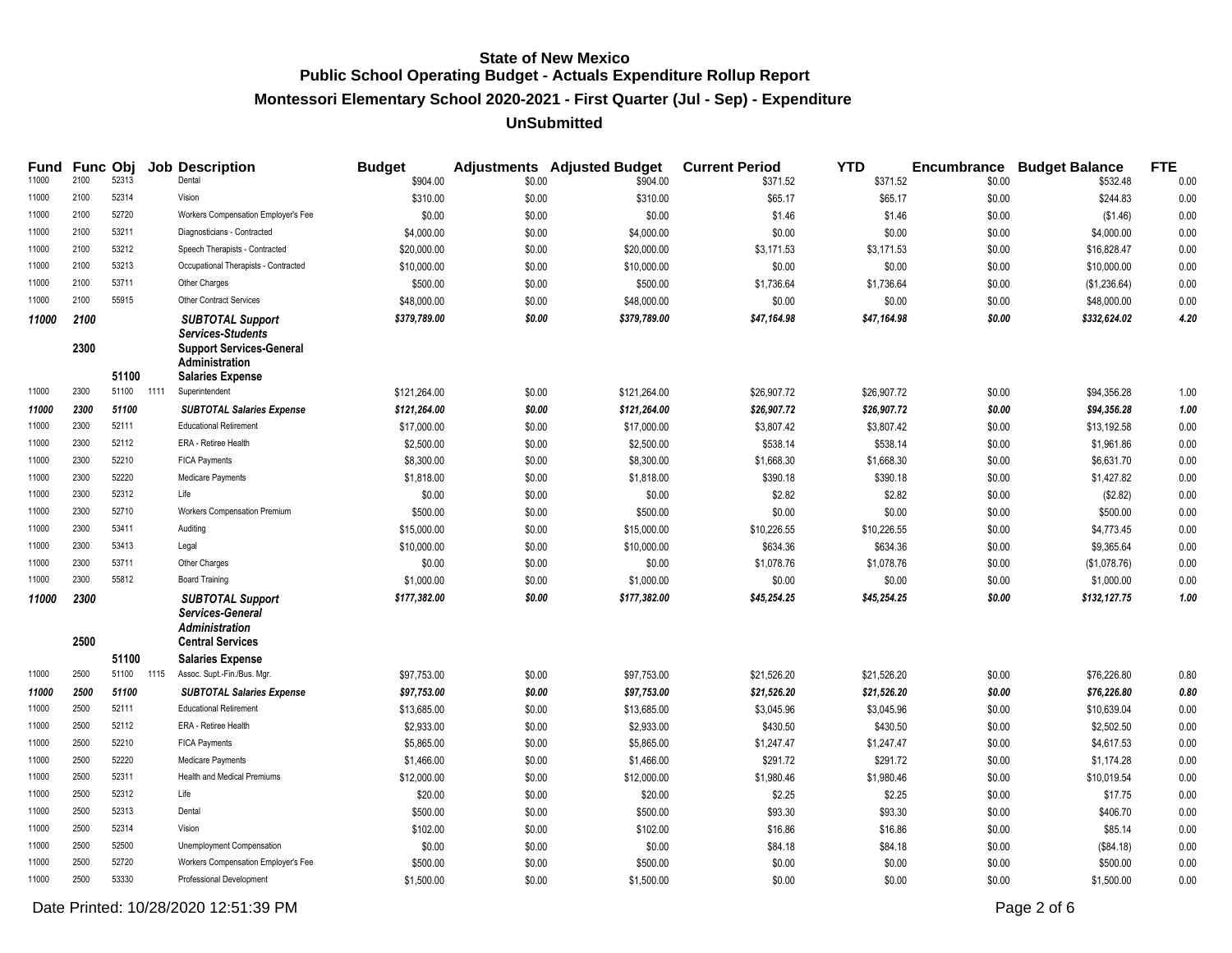**Montessori Elementary School 2020-2021 - First Quarter (Jul - Sep) - Expenditure**

### **UnSubmitted**

| Fund  |              | <b>Func Obj</b> |      | <b>Job Description</b>                                                                          | <b>Budget</b> |        | <b>Adjustments</b> Adjusted Budget | <b>Current Period</b> | <b>YTD</b>  |        | <b>Encumbrance Budget Balance</b> | <b>FTE</b> |
|-------|--------------|-----------------|------|-------------------------------------------------------------------------------------------------|---------------|--------|------------------------------------|-----------------------|-------------|--------|-----------------------------------|------------|
| 11000 | 2100         | 52313           |      | Dental                                                                                          | \$904.00      | \$0.00 | \$904.00                           | \$371.52              | \$371.52    | \$0.00 | \$532.48                          | 0.00       |
| 11000 | 2100         | 52314           |      | Vision                                                                                          | \$310.00      | \$0.00 | \$310.00                           | \$65.17               | \$65.17     | \$0.00 | \$244.83                          | 0.00       |
| 11000 | 2100         | 52720           |      | Workers Compensation Employer's Fee                                                             | \$0.00        | \$0.00 | \$0.00                             | \$1.46                | \$1.46      | \$0.00 | (\$1.46)                          | 0.00       |
| 11000 | 2100         | 53211           |      | Diagnosticians - Contracted                                                                     | \$4,000.00    | \$0.00 | \$4,000.00                         | \$0.00                | \$0.00      | \$0.00 | \$4,000.00                        | 0.00       |
| 11000 | 2100         | 53212           |      | Speech Therapists - Contracted                                                                  | \$20,000.00   | \$0.00 | \$20,000.00                        | \$3,171.53            | \$3,171.53  | \$0.00 | \$16,828.47                       | 0.00       |
| 11000 | 2100         | 53213           |      | Occupational Therapists - Contracted                                                            | \$10,000.00   | \$0.00 | \$10,000.00                        | \$0.00                | \$0.00      | \$0.00 | \$10,000.00                       | 0.00       |
| 11000 | 2100         | 53711           |      | Other Charges                                                                                   | \$500.00      | \$0.00 | \$500.00                           | \$1,736.64            | \$1,736.64  | \$0.00 | (\$1,236.64)                      | 0.00       |
| 11000 | 2100         | 55915           |      | <b>Other Contract Services</b>                                                                  | \$48,000.00   | \$0.00 | \$48,000.00                        | \$0.00                | \$0.00      | \$0.00 | \$48,000.00                       | 0.00       |
| 11000 | 2100<br>2300 |                 |      | <b>SUBTOTAL Support</b><br><b>Services-Students</b><br><b>Support Services-General</b>          | \$379,789.00  | \$0.00 | \$379,789.00                       | \$47,164.98           | \$47,164.98 | \$0.00 | \$332,624.02                      | 4.20       |
|       |              |                 |      | <b>Administration</b>                                                                           |               |        |                                    |                       |             |        |                                   |            |
|       |              | 51100           |      | <b>Salaries Expense</b>                                                                         |               |        |                                    |                       |             |        |                                   |            |
| 11000 | 2300         | 51100           | 1111 | Superintendent                                                                                  | \$121,264.00  | \$0.00 | \$121,264.00                       | \$26,907.72           | \$26,907.72 | \$0.00 | \$94,356.28                       | 1.00       |
| 11000 | 2300         | 51100           |      | <b>SUBTOTAL Salaries Expense</b>                                                                | \$121,264.00  | \$0.00 | \$121,264.00                       | \$26,907.72           | \$26,907.72 | \$0.00 | \$94,356.28                       | 1.00       |
| 11000 | 2300         | 52111           |      | <b>Educational Retirement</b>                                                                   | \$17,000.00   | \$0.00 | \$17,000.00                        | \$3,807.42            | \$3,807.42  | \$0.00 | \$13,192.58                       | 0.00       |
| 11000 | 2300         | 52112           |      | ERA - Retiree Health                                                                            | \$2,500.00    | \$0.00 | \$2,500.00                         | \$538.14              | \$538.14    | \$0.00 | \$1,961.86                        | 0.00       |
| 11000 | 2300         | 52210           |      | <b>FICA Payments</b>                                                                            | \$8,300.00    | \$0.00 | \$8,300.00                         | \$1,668.30            | \$1,668.30  | \$0.00 | \$6,631.70                        | 0.00       |
| 11000 | 2300         | 52220           |      | Medicare Payments                                                                               | \$1,818.00    | \$0.00 | \$1,818.00                         | \$390.18              | \$390.18    | \$0.00 | \$1,427.82                        | 0.00       |
| 11000 | 2300         | 52312           |      | Life                                                                                            | \$0.00        | \$0.00 | \$0.00                             | \$2.82                | \$2.82      | \$0.00 | (\$2.82)                          | 0.00       |
| 11000 | 2300         | 52710           |      | Workers Compensation Premium                                                                    | \$500.00      | \$0.00 | \$500.00                           | \$0.00                | \$0.00      | \$0.00 | \$500.00                          | 0.00       |
| 11000 | 2300         | 53411           |      | Auditing                                                                                        | \$15,000.00   | \$0.00 | \$15,000.00                        | \$10,226.55           | \$10,226.55 | \$0.00 | \$4,773.45                        | 0.00       |
| 11000 | 2300         | 53413           |      | Legal                                                                                           | \$10,000.00   | \$0.00 | \$10,000.00                        | \$634.36              | \$634.36    | \$0.00 | \$9,365.64                        | 0.00       |
| 11000 | 2300         | 53711           |      | Other Charges                                                                                   | \$0.00        | \$0.00 | \$0.00                             | \$1,078.76            | \$1,078.76  | \$0.00 | (\$1,078.76)                      | 0.00       |
| 11000 | 2300         | 55812           |      | <b>Board Training</b>                                                                           | \$1,000.00    | \$0.00 | \$1,000.00                         | \$0.00                | \$0.00      | \$0.00 | \$1,000.00                        | 0.00       |
| 11000 | 2300<br>2500 |                 |      | <b>SUBTOTAL Support</b><br>Services-General<br><b>Administration</b><br><b>Central Services</b> | \$177,382.00  | \$0.00 | \$177,382.00                       | \$45,254.25           | \$45,254.25 | \$0.00 | \$132,127.75                      | 1.00       |
|       |              | 51100           |      | <b>Salaries Expense</b>                                                                         |               |        |                                    |                       |             |        |                                   |            |
| 11000 | 2500         | 51100           | 1115 | Assoc. Supt.-Fin./Bus. Mgr.                                                                     | \$97,753.00   | \$0.00 | \$97,753.00                        | \$21,526.20           | \$21,526.20 | \$0.00 | \$76,226.80                       | 0.80       |
| 11000 | 2500         | 51100           |      | <b>SUBTOTAL Salaries Expense</b>                                                                | \$97,753.00   | \$0.00 | \$97,753.00                        | \$21,526.20           | \$21,526.20 | \$0.00 | \$76,226.80                       | 0.80       |
| 11000 | 2500         | 52111           |      | <b>Educational Retirement</b>                                                                   | \$13,685.00   | \$0.00 | \$13,685.00                        | \$3,045.96            | \$3,045.96  | \$0.00 | \$10,639.04                       | 0.00       |
| 11000 | 2500         | 52112           |      | ERA - Retiree Health                                                                            | \$2,933.00    | \$0.00 | \$2,933.00                         | \$430.50              | \$430.50    | \$0.00 | \$2,502.50                        | 0.00       |
| 11000 | 2500         | 52210           |      | <b>FICA Payments</b>                                                                            | \$5,865.00    | \$0.00 | \$5,865.00                         | \$1,247.47            | \$1,247.47  | \$0.00 | \$4,617.53                        | 0.00       |
| 11000 | 2500         | 52220           |      | Medicare Payments                                                                               | \$1,466.00    | \$0.00 | \$1,466.00                         | \$291.72              | \$291.72    | \$0.00 | \$1.174.28                        | 0.00       |
| 11000 | 2500         | 52311           |      | <b>Health and Medical Premiums</b>                                                              | \$12,000.00   | \$0.00 | \$12,000.00                        | \$1,980.46            | \$1,980.46  | \$0.00 | \$10,019.54                       | 0.00       |
| 11000 | 2500         | 52312           |      | Life                                                                                            | \$20.00       | \$0.00 | \$20.00                            | \$2.25                | \$2.25      | \$0.00 | \$17.75                           | 0.00       |
| 11000 | 2500         | 52313           |      | Dental                                                                                          | \$500.00      | \$0.00 | \$500.00                           | \$93.30               | \$93.30     | \$0.00 | \$406.70                          | 0.00       |
| 11000 | 2500         | 52314           |      | Vision                                                                                          | \$102.00      | \$0.00 | \$102.00                           | \$16.86               | \$16.86     | \$0.00 | \$85.14                           | 0.00       |
| 11000 | 2500         | 52500           |      | Unemployment Compensation                                                                       | \$0.00        | \$0.00 | \$0.00                             | \$84.18               | \$84.18     | \$0.00 | (\$84.18)                         | 0.00       |
| 11000 | 2500         | 52720           |      | Workers Compensation Employer's Fee                                                             | \$500.00      | \$0.00 | \$500.00                           | \$0.00                | \$0.00      | \$0.00 | \$500.00                          | 0.00       |
| 11000 | 2500         | 53330           |      | Professional Development                                                                        | \$1,500.00    | \$0.00 | \$1,500.00                         | \$0.00                | \$0.00      | \$0.00 | \$1,500.00                        | 0.00       |

Date Printed: 10/28/2020 12:51:39 PM Page 2 of 6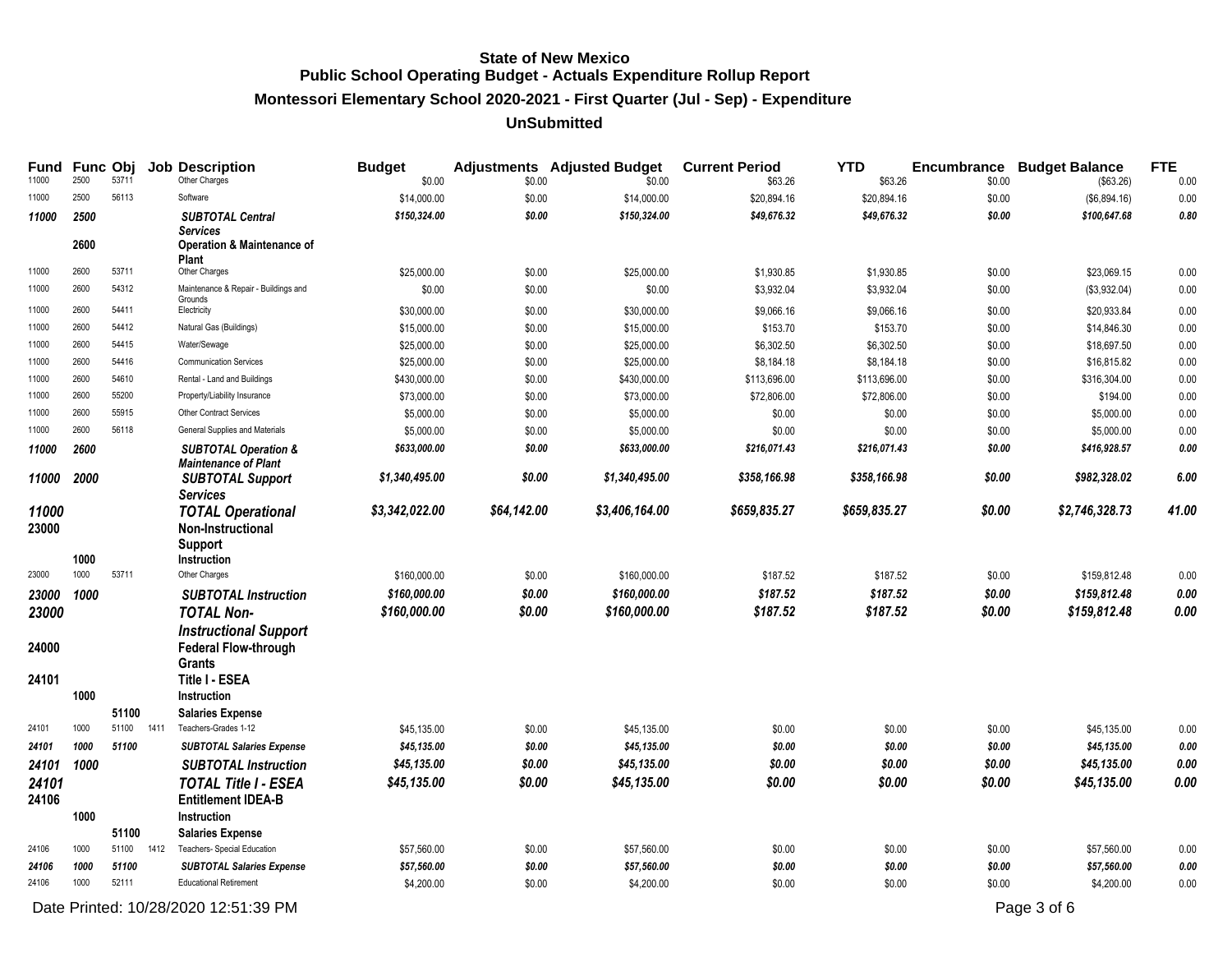**Montessori Elementary School 2020-2021 - First Quarter (Jul - Sep) - Expenditure**

### **UnSubmitted**

| <b>Fund</b><br>11000 | 2500 | Func Obj<br>53711 |      | <b>Job Description</b><br>Other Charges                        | <b>Budget</b><br>\$0.00 | \$0.00      | <b>Adjustments</b> Adjusted Budget<br>\$0.00 | <b>Current Period</b><br>\$63.26 | <b>YTD</b><br>\$63.26 | <b>Encumbrance</b><br>\$0.00 | <b>Budget Balance</b><br>(\$63.26) | <b>FTE</b><br>0.00 |
|----------------------|------|-------------------|------|----------------------------------------------------------------|-------------------------|-------------|----------------------------------------------|----------------------------------|-----------------------|------------------------------|------------------------------------|--------------------|
| 11000                | 2500 | 56113             |      | Software                                                       | \$14,000.00             | \$0.00      | \$14,000.00                                  | \$20,894.16                      | \$20,894.16           | \$0.00                       | (\$6,894.16)                       | 0.00               |
| 11000                | 2500 |                   |      | <b>SUBTOTAL Central</b>                                        | \$150,324.00            | \$0.00      | \$150,324.00                                 | \$49,676.32                      | \$49,676.32           | \$0.00                       | \$100,647.68                       | 0.80               |
|                      | 2600 |                   |      | <b>Services</b>                                                |                         |             |                                              |                                  |                       |                              |                                    |                    |
|                      |      |                   |      | Operation & Maintenance of<br><b>Plant</b>                     |                         |             |                                              |                                  |                       |                              |                                    |                    |
| 11000                | 2600 | 53711             |      | Other Charges                                                  | \$25,000.00             | \$0.00      | \$25,000.00                                  | \$1,930.85                       | \$1,930.85            | \$0.00                       | \$23,069.15                        | 0.00               |
| 11000                | 2600 | 54312             |      | Maintenance & Repair - Buildings and                           | \$0.00                  | \$0.00      | \$0.00                                       | \$3,932.04                       | \$3,932.04            | \$0.00                       | (\$3,932.04)                       | 0.00               |
| 11000                | 2600 | 54411             |      | Grounds<br>Electricity                                         | \$30,000.00             | \$0.00      | \$30,000.00                                  | \$9,066.16                       | \$9,066.16            | \$0.00                       | \$20.933.84                        | 0.00               |
| 11000                | 2600 | 54412             |      | Natural Gas (Buildings)                                        | \$15,000.00             | \$0.00      | \$15,000.00                                  | \$153.70                         | \$153.70              | \$0.00                       | \$14,846.30                        | 0.00               |
| 11000                | 2600 | 54415             |      | Water/Sewage                                                   | \$25,000.00             | \$0.00      | \$25,000.00                                  | \$6,302.50                       | \$6,302.50            | \$0.00                       | \$18,697.50                        | 0.00               |
| 11000                | 2600 | 54416             |      | <b>Communication Services</b>                                  | \$25,000.00             | \$0.00      | \$25,000.00                                  | \$8,184.18                       | \$8,184.18            | \$0.00                       | \$16,815.82                        | 0.00               |
| 11000                | 2600 | 54610             |      | Rental - Land and Buildings                                    | \$430,000.00            | \$0.00      | \$430,000.00                                 | \$113,696.00                     | \$113,696.00          | \$0.00                       | \$316,304.00                       | 0.00               |
| 11000                | 2600 | 55200             |      | Property/Liability Insurance                                   | \$73,000.00             | \$0.00      | \$73,000.00                                  | \$72,806.00                      | \$72,806.00           | \$0.00                       | \$194.00                           | 0.00               |
| 11000                | 2600 | 55915             |      | <b>Other Contract Services</b>                                 | \$5,000.00              | \$0.00      | \$5,000.00                                   | \$0.00                           | \$0.00                | \$0.00                       | \$5,000.00                         | 0.00               |
| 11000                | 2600 | 56118             |      | General Supplies and Materials                                 | \$5,000.00              | \$0.00      | \$5,000.00                                   | \$0.00                           | \$0.00                | \$0.00                       | \$5,000.00                         | 0.00               |
| 11000                | 2600 |                   |      | <b>SUBTOTAL Operation &amp;</b><br><b>Maintenance of Plant</b> | \$633,000.00            | \$0.00      | \$633,000.00                                 | \$216,071.43                     | \$216,071.43          | \$0.00                       | \$416,928.57                       | 0.00               |
| 11000                | 2000 |                   |      | <b>SUBTOTAL Support</b>                                        | \$1,340,495.00          | \$0.00      | \$1,340,495.00                               | \$358,166.98                     | \$358,166.98          | \$0.00                       | \$982,328.02                       | 6.00               |
|                      |      |                   |      | <b>Services</b>                                                |                         |             |                                              |                                  |                       |                              |                                    |                    |
| 11000<br>23000       |      |                   |      | <b>TOTAL Operational</b><br>Non-Instructional                  | \$3,342,022.00          | \$64,142.00 | \$3,406,164.00                               | \$659,835.27                     | \$659,835.27          | \$0.00                       | \$2,746,328.73                     | 41.00              |
|                      |      |                   |      | <b>Support</b>                                                 |                         |             |                                              |                                  |                       |                              |                                    |                    |
|                      | 1000 |                   |      | Instruction                                                    |                         |             |                                              |                                  |                       |                              |                                    |                    |
| 23000                | 1000 | 53711             |      | Other Charges                                                  | \$160,000.00            | \$0.00      | \$160,000.00                                 | \$187.52                         | \$187.52              | \$0.00                       | \$159,812.48                       | 0.00               |
| 23000                | 1000 |                   |      | <b>SUBTOTAL Instruction</b>                                    | \$160,000.00            | \$0.00      | \$160,000.00                                 | \$187.52                         | \$187.52              | \$0.00                       | \$159,812.48                       | 0.00               |
| 23000                |      |                   |      | <b>TOTAL Non-</b>                                              | \$160,000.00            | \$0.00      | \$160,000.00                                 | \$187.52                         | \$187.52              | \$0.00                       | \$159,812.48                       | 0.00               |
|                      |      |                   |      | <b>Instructional Support</b>                                   |                         |             |                                              |                                  |                       |                              |                                    |                    |
| 24000                |      |                   |      | <b>Federal Flow-through</b>                                    |                         |             |                                              |                                  |                       |                              |                                    |                    |
|                      |      |                   |      | <b>Grants</b>                                                  |                         |             |                                              |                                  |                       |                              |                                    |                    |
| 24101                |      |                   |      | <b>Title I - ESEA</b>                                          |                         |             |                                              |                                  |                       |                              |                                    |                    |
|                      | 1000 |                   |      | Instruction                                                    |                         |             |                                              |                                  |                       |                              |                                    |                    |
|                      |      | 51100             |      | <b>Salaries Expense</b>                                        |                         |             |                                              |                                  |                       |                              |                                    |                    |
| 24101                | 1000 | 51100             | 1411 | Teachers-Grades 1-12                                           | \$45,135.00             | \$0.00      | \$45,135.00                                  | \$0.00                           | \$0.00                | \$0.00                       | \$45,135.00                        | 0.00               |
| 24101                | 1000 | 51100             |      | <b>SUBTOTAL Salaries Expense</b>                               | \$45,135.00             | \$0.00      | \$45,135.00                                  | \$0.00                           | \$0.00                | \$0.00                       | \$45,135.00                        | 0.00               |
| 24101                | 1000 |                   |      | <b>SUBTOTAL Instruction</b>                                    | \$45,135.00             | \$0.00      | \$45,135.00                                  | \$0.00                           | \$0.00                | \$0.00                       | \$45,135.00                        | 0.00               |
| 24101                |      |                   |      | <b>TOTAL Title I - ESEA</b>                                    | \$45,135.00             | \$0.00      | \$45,135.00                                  | \$0.00                           | \$0.00                | \$0.00                       | \$45,135.00                        | 0.00               |
| 24106                |      |                   |      | <b>Entitlement IDEA-B</b>                                      |                         |             |                                              |                                  |                       |                              |                                    |                    |
|                      | 1000 |                   |      | Instruction                                                    |                         |             |                                              |                                  |                       |                              |                                    |                    |
|                      |      | 51100             |      | <b>Salaries Expense</b>                                        |                         |             |                                              |                                  |                       |                              |                                    |                    |
| 24106                | 1000 | 51100             | 1412 | Teachers- Special Education                                    | \$57,560.00             | \$0.00      | \$57,560.00                                  | \$0.00                           | \$0.00                | \$0.00                       | \$57,560.00                        | 0.00               |
| 24106                | 1000 | 51100             |      | <b>SUBTOTAL Salaries Expense</b>                               | \$57,560.00             | \$0.00      | \$57,560.00                                  | \$0.00                           | \$0.00                | \$0.00                       | \$57,560.00                        | 0.00               |
| 24106                | 1000 | 52111             |      | <b>Educational Retirement</b>                                  | \$4,200.00              | \$0.00      | \$4,200.00                                   | \$0.00                           | \$0.00                | \$0.00                       | \$4,200.00                         | 0.00               |

Date Printed: 10/28/2020 12:51:39 PM Page 3 of 6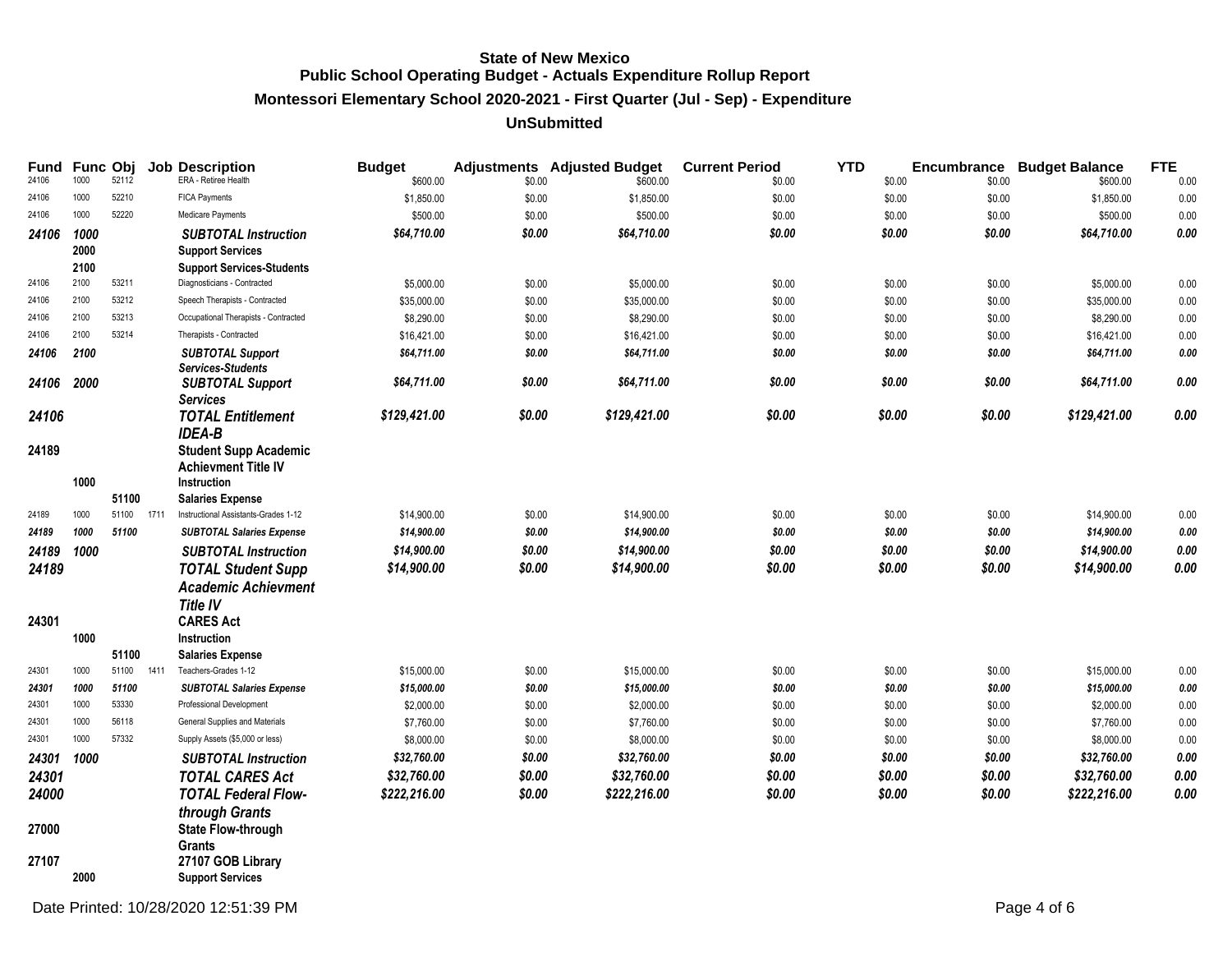# **Montessori Elementary School 2020-2021 - First Quarter (Jul - Sep) - Expenditure**

### **UnSubmitted**

| Fund<br>24106 | Func Obj<br>1000 | 52112 |      | <b>Job Description</b><br>ERA - Retiree Health         | <b>Budget</b>          |                  | <b>Adjustments</b> Adjusted Budget | <b>Current Period</b> | <b>YTD</b>       | Encumbrance      | <b>Budget Balance</b>  | <b>FTE</b>   |
|---------------|------------------|-------|------|--------------------------------------------------------|------------------------|------------------|------------------------------------|-----------------------|------------------|------------------|------------------------|--------------|
| 24106         | 1000             | 52210 |      | FICA Payments                                          | \$600.00<br>\$1,850.00 | \$0.00<br>\$0.00 | \$600.00<br>\$1,850.00             | \$0.00<br>\$0.00      | \$0.00<br>\$0.00 | \$0.00<br>\$0.00 | \$600.00<br>\$1,850.00 | 0.00<br>0.00 |
| 24106         | 1000             | 52220 |      | Medicare Payments                                      | \$500.00               | \$0.00           | \$500.00                           | \$0.00                | \$0.00           | \$0.00           | \$500.00               | 0.00         |
|               |                  |       |      |                                                        |                        |                  |                                    |                       |                  |                  |                        | $0.00\,$     |
| 24106         | 1000<br>2000     |       |      | <b>SUBTOTAL Instruction</b><br><b>Support Services</b> | \$64,710.00            | \$0.00           | \$64,710.00                        | \$0.00                | \$0.00           | \$0.00           | \$64,710.00            |              |
|               | 2100             |       |      | <b>Support Services-Students</b>                       |                        |                  |                                    |                       |                  |                  |                        |              |
| 24106         | 2100             | 53211 |      | Diagnosticians - Contracted                            | \$5,000.00             | \$0.00           | \$5,000.00                         | \$0.00                | \$0.00           | \$0.00           | \$5,000.00             | 0.00         |
| 24106         | 2100             | 53212 |      | Speech Therapists - Contracted                         | \$35,000.00            | \$0.00           | \$35,000.00                        | \$0.00                | \$0.00           | \$0.00           | \$35,000.00            | 0.00         |
| 24106         | 2100             | 53213 |      | Occupational Therapists - Contracted                   | \$8,290.00             | \$0.00           | \$8,290.00                         | \$0.00                | \$0.00           | \$0.00           | \$8,290.00             | 0.00         |
| 24106         | 2100             | 53214 |      | Therapists - Contracted                                | \$16,421.00            | \$0.00           | \$16,421.00                        | \$0.00                | \$0.00           | \$0.00           | \$16,421.00            | $0.00\,$     |
| 24106         | 2100             |       |      | <b>SUBTOTAL Support</b>                                | \$64,711.00            | \$0.00           | \$64,711.00                        | \$0.00                | \$0.00           | \$0.00           | \$64,711.00            | $\it{0.00}$  |
| 24106         | 2000             |       |      | <b>Services-Students</b><br><b>SUBTOTAL Support</b>    | \$64,711.00            | \$0.00           | \$64,711.00                        | \$0.00                | \$0.00           | \$0.00           | \$64,711.00            | 0.00         |
|               |                  |       |      | <b>Services</b>                                        |                        |                  |                                    |                       |                  |                  |                        |              |
| 24106         |                  |       |      | <b>TOTAL Entitlement</b>                               | \$129,421.00           | \$0.00           | \$129,421.00                       | \$0.00                | \$0.00           | \$0.00           | \$129,421.00           | 0.00         |
|               |                  |       |      | <b>IDEA-B</b>                                          |                        |                  |                                    |                       |                  |                  |                        |              |
| 24189         |                  |       |      | <b>Student Supp Academic</b>                           |                        |                  |                                    |                       |                  |                  |                        |              |
|               |                  |       |      | <b>Achievment Title IV</b>                             |                        |                  |                                    |                       |                  |                  |                        |              |
|               | 1000             |       |      | <b>Instruction</b>                                     |                        |                  |                                    |                       |                  |                  |                        |              |
|               |                  | 51100 |      | <b>Salaries Expense</b>                                |                        |                  |                                    |                       |                  |                  |                        |              |
| 24189         | 1000             | 51100 | 1711 | Instructional Assistants-Grades 1-12                   | \$14,900.00            | \$0.00           | \$14,900.00                        | \$0.00                | \$0.00           | \$0.00           | \$14,900.00            | 0.00         |
| 24189         | 1000             | 51100 |      | <b>SUBTOTAL Salaries Expense</b>                       | \$14,900.00            | \$0.00           | \$14,900.00                        | \$0.00                | \$0.00           | \$0.00           | \$14,900.00            | $0.00\,$     |
| 24189         | 1000             |       |      | <b>SUBTOTAL Instruction</b>                            | \$14,900.00            | \$0.00           | \$14,900.00                        | \$0.00                | \$0.00           | \$0.00           | \$14,900.00            | 0.00         |
| 24189         |                  |       |      | <b>TOTAL Student Supp</b>                              | \$14,900.00            | \$0.00           | \$14,900.00                        | \$0.00                | \$0.00           | \$0.00           | \$14,900.00            | 0.00         |
|               |                  |       |      | <b>Academic Achievment</b>                             |                        |                  |                                    |                       |                  |                  |                        |              |
|               |                  |       |      | <b>Title IV</b>                                        |                        |                  |                                    |                       |                  |                  |                        |              |
| 24301         |                  |       |      | <b>CARES Act</b>                                       |                        |                  |                                    |                       |                  |                  |                        |              |
|               | 1000             |       |      | Instruction                                            |                        |                  |                                    |                       |                  |                  |                        |              |
|               |                  | 51100 |      | <b>Salaries Expense</b>                                |                        |                  |                                    |                       |                  |                  |                        |              |
| 24301         | 1000             | 51100 | 1411 | Teachers-Grades 1-12                                   | \$15,000.00            | \$0.00           | \$15,000.00                        | \$0.00                | \$0.00           | \$0.00           | \$15,000.00            | 0.00         |
| 24301         | 1000             | 51100 |      | <b>SUBTOTAL Salaries Expense</b>                       | \$15,000.00            | \$0.00           | \$15,000.00                        | \$0.00                | \$0.00           | \$0.00           | \$15,000.00            | 0.00         |
| 24301         | 1000             | 53330 |      | Professional Development                               | \$2,000.00             | \$0.00           | \$2,000.00                         | \$0.00                | \$0.00           | \$0.00           | \$2,000.00             | 0.00         |
| 24301         | 1000             | 56118 |      | General Supplies and Materials                         | \$7,760.00             | \$0.00           | \$7,760.00                         | \$0.00                | \$0.00           | \$0.00           | \$7,760.00             | 0.00         |
| 24301         | 1000             | 57332 |      | Supply Assets (\$5,000 or less)                        | \$8,000.00             | \$0.00           | \$8,000.00                         | \$0.00                | \$0.00           | \$0.00           | \$8,000.00             | 0.00         |
| 24301         | 1000             |       |      | <b>SUBTOTAL Instruction</b>                            | \$32,760.00            | \$0.00           | \$32,760.00                        | \$0.00                | \$0.00           | \$0.00           | \$32,760.00            | $0.00\,$     |
| 24301         |                  |       |      | <b>TOTAL CARES Act</b>                                 | \$32,760.00            | \$0.00           | \$32,760.00                        | \$0.00                | \$0.00           | \$0.00           | \$32,760.00            | 0.00         |
| 24000         |                  |       |      | <b>TOTAL Federal Flow-</b>                             | \$222,216.00           | \$0.00           | \$222,216.00                       | \$0.00                | \$0.00           | \$0.00           | \$222,216.00           | 0.00         |
|               |                  |       |      | through Grants                                         |                        |                  |                                    |                       |                  |                  |                        |              |
| 27000         |                  |       |      | <b>State Flow-through</b>                              |                        |                  |                                    |                       |                  |                  |                        |              |
|               |                  |       |      | Grants                                                 |                        |                  |                                    |                       |                  |                  |                        |              |
| 27107         |                  |       |      | 27107 GOB Library                                      |                        |                  |                                    |                       |                  |                  |                        |              |
|               | 2000             |       |      | <b>Support Services</b>                                |                        |                  |                                    |                       |                  |                  |                        |              |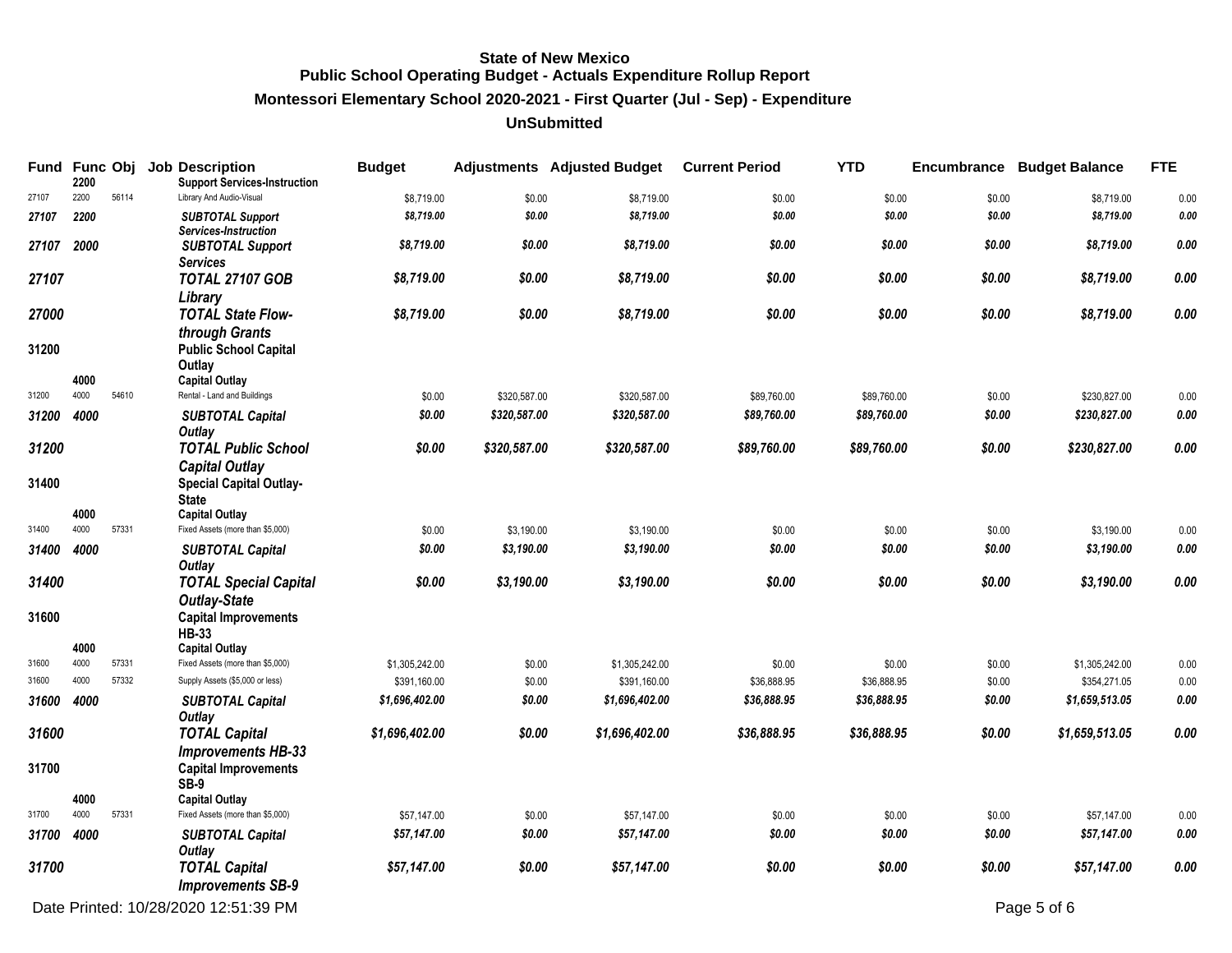**Montessori Elementary School 2020-2021 - First Quarter (Jul - Sep) - Expenditure**

### **UnSubmitted**

| Fund Func Obj | 2200         |       | <b>Job Description</b><br><b>Support Services-Instruction</b>    | <b>Budget</b>  |              | <b>Adjustments</b> Adjusted Budget | <b>Current Period</b> | <b>YTD</b>  |        | <b>Encumbrance Budget Balance</b> | <b>FTE</b> |
|---------------|--------------|-------|------------------------------------------------------------------|----------------|--------------|------------------------------------|-----------------------|-------------|--------|-----------------------------------|------------|
| 27107         | 2200         | 56114 | Library And Audio-Visual                                         | \$8,719.00     | \$0.00       | \$8,719.00                         | \$0.00                | \$0.00      | \$0.00 | \$8,719.00                        | 0.00       |
| 27107         | 2200         |       | <b>SUBTOTAL Support</b><br>Services-Instruction                  | \$8,719.00     | \$0.00       | \$8,719.00                         | \$0.00                | \$0.00      | \$0.00 | \$8,719.00                        | 0.00       |
| 27107         | 2000         |       | <b>SUBTOTAL Support</b><br><b>Services</b>                       | \$8,719.00     | \$0.00       | \$8,719.00                         | \$0.00                | \$0.00      | \$0.00 | \$8,719.00                        | 0.00       |
| 27107         |              |       | <b>TOTAL 27107 GOB</b>                                           | \$8,719.00     | \$0.00       | \$8,719.00                         | \$0.00                | \$0.00      | \$0.00 | \$8,719.00                        | 0.00       |
| 27000         |              |       | Library<br><b>TOTAL State Flow-</b>                              | \$8,719.00     | \$0.00       | \$8,719.00                         | \$0.00                | \$0.00      | \$0.00 | \$8,719.00                        | 0.00       |
| 31200         |              |       | through Grants<br><b>Public School Capital</b><br>Outlay         |                |              |                                    |                       |             |        |                                   |            |
|               | 4000         |       | <b>Capital Outlay</b>                                            |                |              |                                    |                       |             |        |                                   |            |
| 31200         | 4000         | 54610 | Rental - Land and Buildings                                      | \$0.00         | \$320,587.00 | \$320,587.00                       | \$89,760.00           | \$89,760.00 | \$0.00 | \$230,827.00                      | 0.00       |
| 31200         | 4000         |       | <b>SUBTOTAL Capital</b><br>Outlay                                | \$0.00         | \$320,587.00 | \$320,587.00                       | \$89,760.00           | \$89,760.00 | \$0.00 | \$230,827.00                      | 0.00       |
| 31200         |              |       | <b>TOTAL Public School</b><br><b>Capital Outlay</b>              | \$0.00         | \$320,587.00 | \$320,587.00                       | \$89,760.00           | \$89,760.00 | \$0.00 | \$230,827.00                      | 0.00       |
| 31400         |              |       | <b>Special Capital Outlay-</b><br><b>State</b>                   |                |              |                                    |                       |             |        |                                   |            |
|               | 4000<br>4000 |       | <b>Capital Outlay</b>                                            |                |              |                                    |                       |             |        |                                   |            |
| 31400         |              | 57331 | Fixed Assets (more than \$5,000)                                 | \$0.00         | \$3,190.00   | \$3,190.00                         | \$0.00                | \$0.00      | \$0.00 | \$3,190.00                        | 0.00       |
| 31400         | 4000         |       | <b>SUBTOTAL Capital</b><br>Outlay                                | \$0.00         | \$3,190.00   | \$3,190.00                         | \$0.00                | \$0.00      | \$0.00 | \$3,190.00                        | 0.00       |
| 31400         |              |       | <b>TOTAL Special Capital</b><br><b>Outlay-State</b>              | \$0.00         | \$3,190.00   | \$3,190.00                         | \$0.00                | \$0.00      | \$0.00 | \$3,190.00                        | 0.00       |
| 31600         |              |       | <b>Capital Improvements</b><br><b>HB-33</b>                      |                |              |                                    |                       |             |        |                                   |            |
|               | 4000         |       | <b>Capital Outlay</b>                                            |                |              |                                    |                       |             |        |                                   |            |
| 31600         | 4000         | 57331 | Fixed Assets (more than \$5,000)                                 | \$1,305,242.00 | \$0.00       | \$1,305,242.00                     | \$0.00                | \$0.00      | \$0.00 | \$1,305,242.00                    | 0.00       |
| 31600         | 4000         | 57332 | Supply Assets (\$5,000 or less)                                  | \$391,160.00   | \$0.00       | \$391,160.00                       | \$36,888.95           | \$36,888.95 | \$0.00 | \$354,271.05                      | 0.00       |
| 31600         | 4000         |       | <b>SUBTOTAL Capital</b><br>Outlay                                | \$1,696,402.00 | \$0.00       | \$1,696,402.00                     | \$36,888.95           | \$36,888.95 | \$0.00 | \$1,659,513.05                    | 0.00       |
| 31600         |              |       | <b>TOTAL Capital</b>                                             | \$1,696,402.00 | \$0.00       | \$1,696,402.00                     | \$36,888.95           | \$36,888.95 | \$0.00 | \$1,659,513.05                    | 0.00       |
| 31700         |              |       | <b>Improvements HB-33</b><br><b>Capital Improvements</b><br>SB-9 |                |              |                                    |                       |             |        |                                   |            |
|               | 4000         |       | <b>Capital Outlay</b>                                            |                |              |                                    |                       |             |        |                                   |            |
| 31700         | 4000         | 57331 | Fixed Assets (more than \$5,000)                                 | \$57,147.00    | \$0.00       | \$57,147.00                        | \$0.00                | \$0.00      | \$0.00 | \$57,147.00                       | 0.00       |
| 31700         | 4000         |       | <b>SUBTOTAL Capital</b><br>Outlay                                | \$57,147.00    | \$0.00       | \$57,147.00                        | \$0.00                | \$0.00      | \$0.00 | \$57,147.00                       | 0.00       |
| 31700         |              |       | <b>TOTAL Capital</b><br><b>Improvements SB-9</b>                 | \$57,147.00    | \$0.00       | \$57,147.00                        | \$0.00                | \$0.00      | \$0.00 | \$57,147.00                       | 0.00       |

Date Printed: 10/28/2020 12:51:39 PM Page 5 of 6